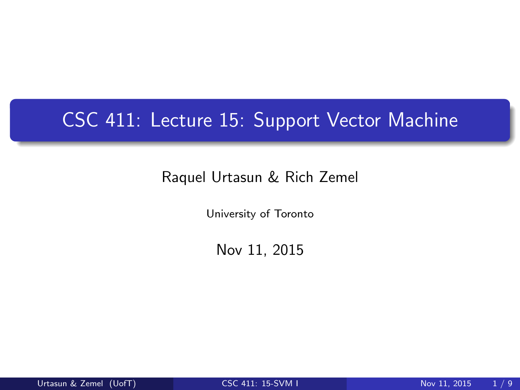# CSC 411: Lecture 15: Support Vector Machine

#### Raquel Urtasun & Rich Zemel

University of Toronto

<span id="page-0-0"></span>Nov 11, 2015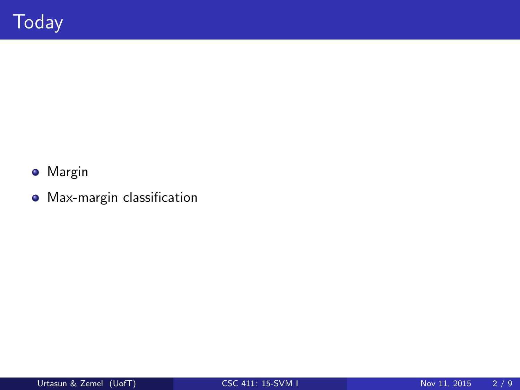- **o** Margin
- Max-margin classification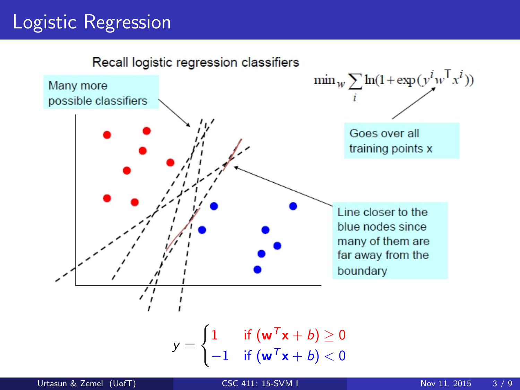# Logistic Regression

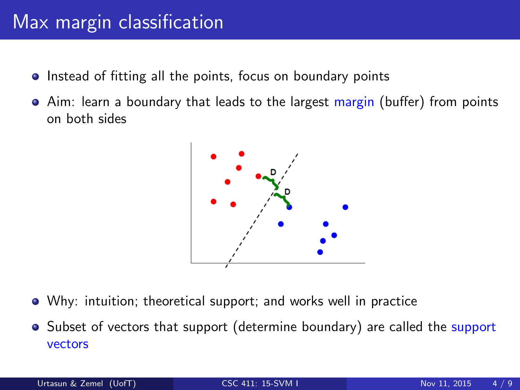# Max margin classification

- Instead of fitting all the points, focus on boundary points
- Aim: learn a boundary that leads to the largest margin (buffer) from points on both sides



- Why: intuition; theoretical support; and works well in practice
- Subset of vectors that support (determine boundary) are called the support vectors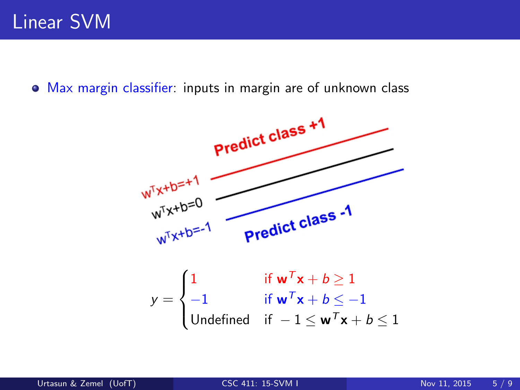Max margin classifier: inputs in margin are of unknown class

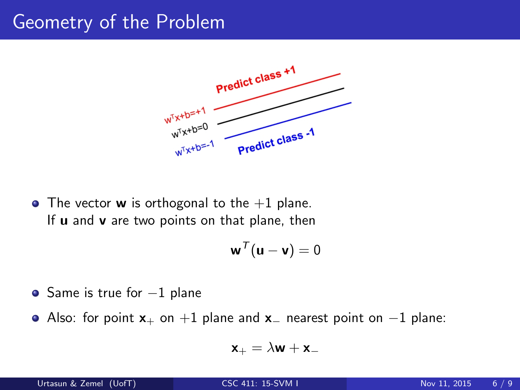### Geometry of the Problem



• The vector **w** is orthogonal to the  $+1$  plane. If  $u$  and  $v$  are two points on that plane, then

$$
\mathbf{w}^{\mathcal{T}}(\mathbf{u}-\mathbf{v})=0
$$

- $\bullet$  Same is true for  $-1$  plane
- Also: for point  $x_{+}$  on  $+1$  plane and  $x_{-}$  nearest point on  $-1$  plane:

$$
\mathbf{x}_+ = \lambda \mathbf{w} + \mathbf{x}_-
$$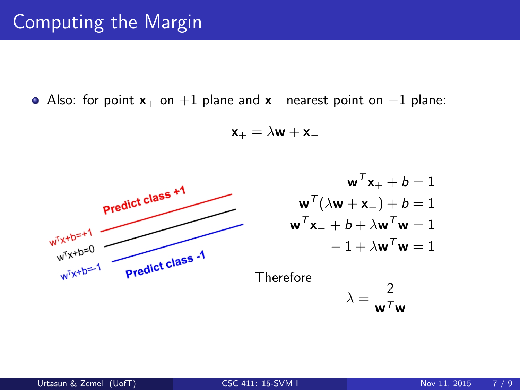Also: for point  $x_+$  on +1 plane and  $x_-$  nearest point on -1 plane:

$$
\mathbf{x}_{+} = \lambda \mathbf{w} + \mathbf{x}_{-}
$$



$$
\mathbf{w}^T \mathbf{x}_+ + b = 1
$$
  

$$
\mathbf{w}^T (\lambda \mathbf{w} + \mathbf{x}_-) + b = 1
$$
  

$$
\mathbf{w}^T \mathbf{x}_- + b + \lambda \mathbf{w}^T \mathbf{w} = 1
$$
  

$$
-1 + \lambda \mathbf{w}^T \mathbf{w} = 1
$$

Therefore

$$
\lambda = \frac{2}{\mathbf{w}^T \mathbf{w}}
$$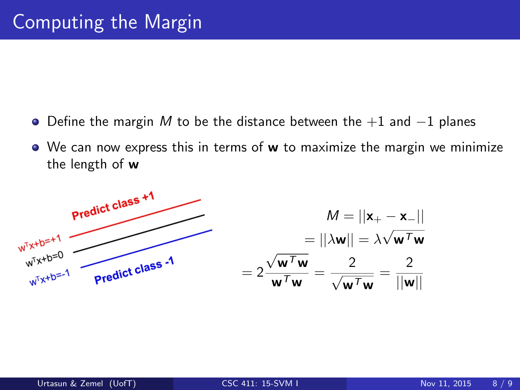- $\bullet$  Define the margin M to be the distance between the  $+1$  and  $-1$  planes
- We can now express this in terms of w to maximize the margin we minimize the length of w